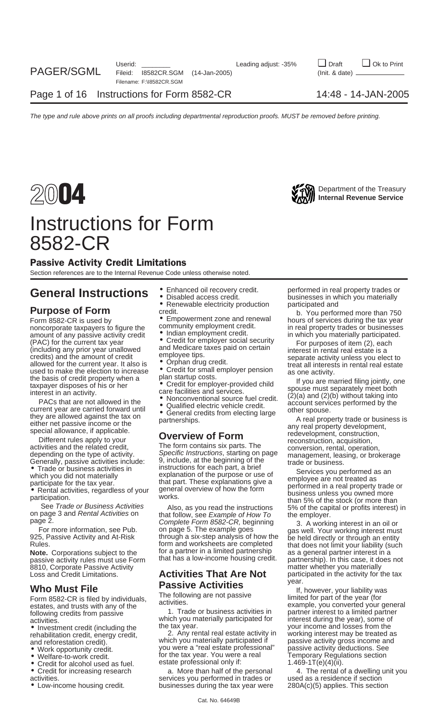

## Instructions for Form 8582-CR

## Passive Activity Credit Limitations

Section references are to the Internal Revenue Code unless otherwise noted.

## **General Instructions**  $\bullet$  Enhanced oil recovery credit. performed in real property trades or businesses in which you materially

amount of any passive activity credit  $(PAC)$  for the current tax year  $(indiding)$  and Medicare taxes paid on certain in which you materially participated.<br>  $(prodiding)$  for purposes of item (2), each and Medicare taxes paid on certai credits) and the amount of credit employee tips.<br>allowed for the current year. It also is • Orphan drug credit.<br>used to make the election to increase • Credit for small employer pension as one activity.

8810, Corporate Passive Activity<br>Loss and Credit Limitations. **Activities That Are Not** Loss and Credit Limitations. **Activities That Are Not** participated in the activity for the tax

- 
- 
- $\bullet$  Credit for alcohol used as fuel.
- 
- 
- 
- 
- 
- 

- 
- 

- 
- 

used to make the election to increase<br>
the basis of reading plant startup costs. The and interest in term and the particle and the particle continuous cost of the proper startup (2)(a) and (2)(b) without taking into the co

Rules.<br>**Note.** Corporations subject to the for a partner in a limited partnership as a general partner interest in a<br>nassive activity rules must use Form that has a low-income housing credit. partnership In this case, it d

activities.<br>activities. which you materially participated for<br>
• Investment credit (including the tax year), some of the tax year.

rehabilitation credit, energy credit, and the credit of the credit, energy credit, and reforestation credit, and reforestation credit). and reforestation credit). which you materially participated if passive activity gross income and reforestation credit). which you materially participated if passive activity gross income and reforestation credit. • Work opportunity credit. you were a "real estate professional" passive activity deductions. See<br>• Welfare-to-work credit. external to the tax year. You were a real Temporary Regulations section for the tax year. You were a real Temporary Regulates create professional only if:  $1.469-1T(e)(4)(ii)$ .

activities. services you performed in trades or used as a residence in trades or • Low-income housing credit. businesses during the tax year were 280A(c)(5) applies. This section

businesses in which you materially<br>participated and

• Renewable electricity production participated and<br>**Purpose of Form** credit. b. You performed more than 750<br>**Form 8582-CR is used by •** Empowerment zone and renewal bours of services during the tax vear Form 8582-CR is used by<br>
noncorporate taxpayers to figure the community employment credit.<br>
amount of any passive activity credit • Indian employment credit. in real property trades or businesses<br>
amount of any passive act

passive activity rules must use Form that has a low-income housing credit. partnership). In this case, it does not<br>8810, Corporate Passive Activity entitled as a serie of the matter whether you materially year.

**Who Must File**<br>
Form 8582-CR is filed by individuals, The following are not passive the states, and trusts with any of the activities.<br>
estates, and trusts with any of the activities. The states, and trusts with any of th estates, and trusts with any of the activities.<br>
following credits from passive **1.** Trade or business activities in partner interest to a limited partner<br>
activities in partner interest to a limited partner<br>
activities.<br> • Investment credit (including the tax year.<br>
rehabilitation credit energy credit 2. Any rental real estate activity in working interest may be treated as

• Credit for increasing research a. More than half of the personal 4. The rental of a dwelling unit you<br>activities. activities are services you performed in trades or a used as a residence if section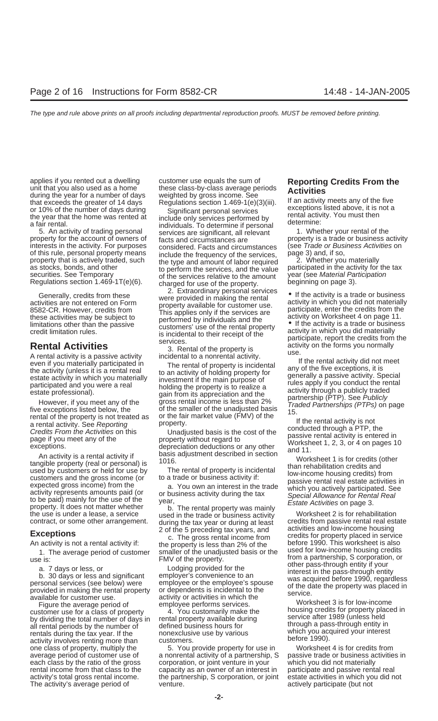during the year for a number of days weighted by gross income. See<br>that exceeds the greater of 14 days Regulations section 1.469-1(e)(3)(iii). If an activity meets any of the five<br>or 10% of the number of days during Signif

An activity is a tend activity in<br>
used by customers or held of property (real or personal) is<br>
used by customers and the gross income (or<br>
activity represents amounts paid (or<br>
activity represents amounts paid (or<br>
to a t

available for customer use.<br>Figure the average period of employee performs services.<br>Customer use for a class of property enters and all the customer worksheet 3 is for low-income<br>Customer use for a class of property enter A. You customarily make the housing credits for property placed in<br>by dividing the hotal pumper of days in cental property available during service after 1989 (unless held by dividing the total number of days in iteratal property available during service after 1989 (unless held all rental periods by the number of defined business hours for through a pass-through entity in all rental periods by the number of defined business hours for through a pass-through entity in all rentals during the tax vear. If the number propex clusive use by various rentals during the tax year. If the bonexclusive use by various which you accurred your interest renting more than customers. The activity's average period of exercise venture. The actively participate (but not

applies if you rented out a dwelling customer use equals the sum of **Reporting Credits From the**<br>unit that you also used as a home these class-by-class average periods **Activities**<br>during the year for a number of days weig

or 10% of the number of days during<br>the year that the home was rented at<br>a fair rental.<br>5. An activity of trading personal services are significant, all relevant<br>5. An activity of trading personal services are significant, interests in the activity. For purposes considered. Facts and circumstances (see *Trade or Busines* of this rule, personal property means include the frequency of the services. Page 3) and, if so, of this rule, personal property means<br>property that is actively traded, such the type and amount of labor required<br>as stocks, bonds, and other the services, and the value participated in the activity for the tax<br>securities securities. See Temporary of the services relative to the amount year (see Material Particle Regulations section 1.469-1T(e)(6). charged for use of the property.

Cenerally, credits from these<br>
state of the same of the same of the same of the set of the set of the set of the set of the set of the set of the set of the set of the set of the set of the set of the set of the set of th

An activity is a rental activity if basis adjustment described in section<br>orible property (real or personal) is 1016.

An activity is not a rental activity is not a rental activity is less than 2% of the before 1990. This worksheet is also<br>smaller of the unadjusted basis or the used for low-income housing credits 1. The average period of customer smaller of the unadjusted basis or the dised for low-income nousing credits<br>1. EMV of the property. The managed from a partnership, S corporation, or

one class of property, multiply the 5. You provide property for use in Worksheet 4 is for credits from average period of customer use of a nonrental activity of a partnership, S passive trade or business activities in each class by the ratio of the gross corporation, or joint venture in your which you did not materially rental income from that class to the capacity as an owner of an interest in participate and passive rental real activity's total gross rental income. the partnership, S corporation, or joint estate activities in which you did not

b. An activity of trading personal services are significant, all relevant<br>property is a trade or business activity<br>interests in the activity. For purposes considered Facts and circumstances (see Trade or Business Activitie

the use is under a lease, a service used in the trade or business activity worksheet 2 is for rehabilitation<br>contract, or some other arrangement. during the tax year or during at least credits from passive rental real esta **2** of the 5 preceding tax years, and activities and low-income nousing<br>
c. The gross rental income from credits for property placed in service<br>
An activity is not a rental activity if:<br>
the property is less than 2% of the FMV of the property.<br>
a. 7 days or less, or<br>
b. 30 days or less and significant<br>
personal services (see below) were<br>
provided in making the rental property<br>
a. 7 days or less, or<br>
b. 30 days or less and significant<br>
person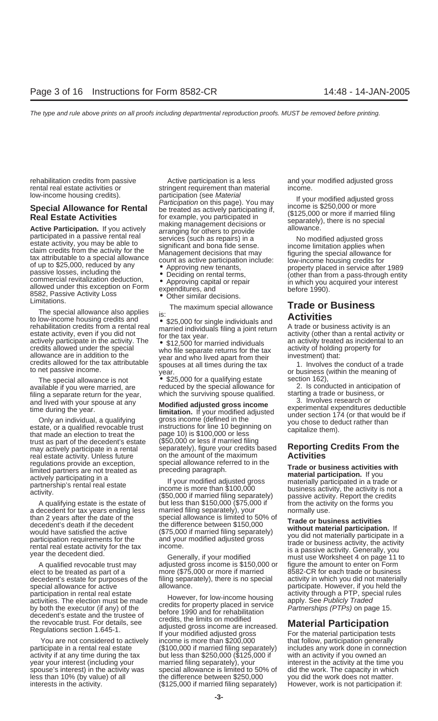low-income housing credits).<br> **Special Allowance for Rental** Participation (see Material Public page). You may<br> **Special Allowance for Rental** be treated as actively participating if, (\$125,000 or more<br> **Real Estate Activi** 

The special allowance also applies The special allowance also applies<br>to low-income housing credits and **individuals and rehabilitation credits from a rental real married individuals filing a joint return** A trade or business activity is an estate activity, even if you did not<br>actively participate in the activity. The section of the tax year.<br>The section of the tax wear.<br>The section of the tax activity treated as incidental to an<br>activity of holding property

filing a separate return for the year, which the surviving spouse qualified. Starting a trade or business and lived with your spouse at any starting a trade or filing a trade or business

that made an election to treat the page 10) is \$100,000 or less if married filing<br>trust as part of the decedent's estate (\$50,000 or less if married filing real estate activity. Unless future on the amount of the maximum<br>**regulations provide an exception**, special allowance referred to in the regulations provide an exception, special allowance referred to in the<br>limited partners are not treated as preceding paragraph.<br>actively participating in a last income is more than \$100,000<br>activity. He activity is not a (

rehabilitation credits from passive exactive participation is a less and your modified adjusted gross rental real estate activities or stringent requirement than material income.

The maximum special allowance **Trade or Business**

allowance are in addition to the<br>credits allowed for the tax attributable<br>to net passive income.<br>to net passive income.<br>year.<br>year.<br>year.<br>and times during the tax<br>or business (within the meaning of

The special allowance is not  $\bullet$  \$25,000 for a qualifying estate section 162),<br>ailable if you were married are section the special allowance for a section 162), available if you were married, are exercled by the special allowance for and the conducted in anticipation of<br>filing a separate return for the year, which the surviving spouse qualified. Starting a trade or business, or

and lived with your spouse at any<br>time during the year.<br>Only an individual, a qualifying<br>estate, or a qualified revocable trust<br>that made an election to treat the page 10) is \$100,000 or less. may actively participate in a rental separately), figure your credits based **Reporting Credits From the** real estate activity. Unless future on the amount of the maximum

A qualifying estate is the estate of but less than \$150,000 (\$75,000 if from the activity on the forms you becaled that is married filing separately), your hormally use. a decedent for tax years ending less married filing separately), your normally use.<br>than 2 years after the date of the special allowance is limited to 50% of

A qualified revocable trust may adjusted gross income is \$150,000 or figure the amount to enter on Form<br>ct to be treated as part of a more (\$75,000 or more if married bases-CR for each trade or business elect to be treated as part of a more (\$75,000 or more if married 8582-CR for each trade or business special allowance for active allowance. And allowance are special allowance if you held the

participation in rental real estate<br>activities. The election must be made<br>by both the executor (if any) of the<br>decedent's estate and the trustee of<br>the revocable trust. For details, see<br>Regulations section 1.645-1. If your You are not considered to actively income is more than \$200,000 that follow, participation generally activity if at any time during the tax but less than \$250,000 (\$125,000 if with an activity if you owned an year your interest (including your married filing separately), your interest in the activity at the time you spouse's interest) in the activity was special allowance is limited to 50% of did the work. The capacity in which less than 10% (by value) of all the difference between \$250,000 you did the work does not matter. interests in the activity. (\$125,000 if married filing separately) However, work is not participation if:

than 2 years after the date of the special allowance is limited to 50% of<br>decedent's death if the decedent<br>would have satisfied the active (\$75,000 if married filing separately)<br>participation requirements for the and your decedent's estate for purposes of the filing separately), there is no special activity in which you did not materially<br>special allowance for active allowance.

participate in a rental real estate (\$100,000 if married filing separately) includes any work done in connection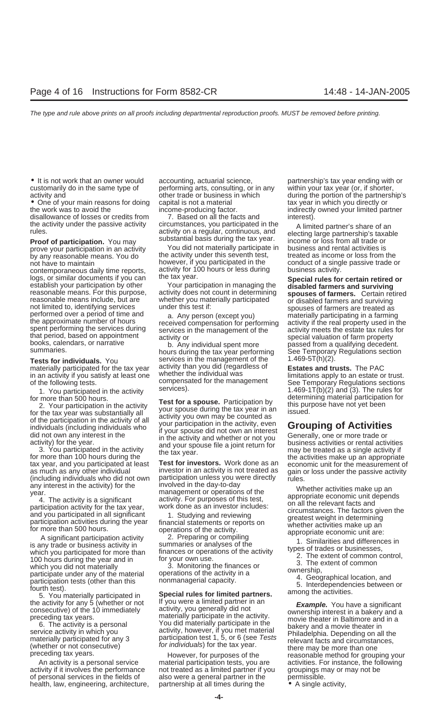• One of your main reasons for doing capital is not a material exacts are tax year in which you directly or<br>the work was to avoid the income-producing factor. The work was to avoid the

by any reasonable means. You do the activity under this seventh test, the activity under this seventh test, the maintain

contemporaneous daily time reports, activity for 100 hours or less during<br>logs, or similar documents if you can the tax year.<br>establish your participation by other Your participation in managing the **Special rules for cert** 

materially participated for the tax year activity than you did (regardless of **Estates and trusts.** The PAC<br>in an activity if you satisfy at least one whether the individual was **interpretent in the limitations** apply to a in an activity if you satisfy at least one whether the individual was interestations apply to an estate or trust<br>of the following tests. whether the management sections sections

tax year, and you participated at least **Test for investors.** Work done as an economic unit for the measurement of<br>as much as any other individual investor in an activity is not treated as gain or loss under the passive ac

any interest in the activity) for the involved in the day-to-day<br>
year.<br>
4. The activity is a significant activity. For purposes of this test,<br>
activity. For purposes of this test,<br>
activity for the tax year, work done as

activity if it involves the performance not treated as a limited partner if you groupings may or may not be of personal services in the fields of also were a general partner in the permissible. health, law, engineering, architecture, partnership at all times during the • A single activity,

• It is not work that an owner would accounting, actuarial science, exampled that the stax year ending with or customarily do in the same type of performing arts, consulting, or in any within your tax year (or, if shorter,

disallowance of losses or credits from  $\overline{7}$ . Based on all the facts and interest).<br>the activity under the passive activity circumstances, you participated in the  $\overline{a}$  limit the activity under the passive activity circumstances, you participated in the A limited partner's share of an<br>
rules. activity on a regular, continuous, and electing large partnership's taxable<br> **Proof of participation.**

not have to maintain **however, if you participated in the** conduct of a single passive trade or<br>contemporaneous daily time reports activity for 100 hours or less during business activity.

summaries.<br> **Tests for individuals.** You services in the management of the 1.469-5T(h)(2).<br>
materially participated for the tax vear activity than you did (regardless of **Estates and trusts.** The PAC

For more than 500 hours.<br>
2. Your participation in the activity<br>
for the tax year was substantially all<br>
of the participation in the activity of all<br>
of the participation in the activity of all<br>
of the participation in the

5. You materially participated in **Special rules for limited partners.**<br>
the activity for any 5 (whether or not lift you were a limited partner in an consecutive) of the 10 immediately activity, you generally did not<br>
for

An activity is a personal service material participation tests, you are activities. For instance, the following

activity and other trade or business in which during the portion of the partnership's indirectly owned your limited partner

**Proof of participation.** You may<br>prove your participation in an activity and the activity what exists and rental activities is<br>by any reasonable means. You do the activity under this seventh test, treated as income or los

reasonable means include, but are<br>
not limited to, identifying services<br>
performed over a period of time and<br>
the approximate number of hours<br>
spent performing the services during<br>
spent performing the services during<br>
spe

of the following tests. See Temporary Regulations sections<br>Services). Services extinted for the management<br>1.469-1.7(h)(2) and (3). The rules for 1. You participated in the activity services). 1.469-1T(b)(2) and (3). The rules for the role of the rules for<br>more than 500 hours.

individuals (including individuals who if your participation in the activity, even<br>activity) for the year.<br>3. You participated in the activity<br>for more than 100 hours during the<br>tax year.<br>Test for investors. Work done as a

6. The activity is a personal and the service activity in which you<br>service activity in which you<br>materially participated for any 3<br>(whether or not consecutive) activity, however, if you met material<br>for individuals) for t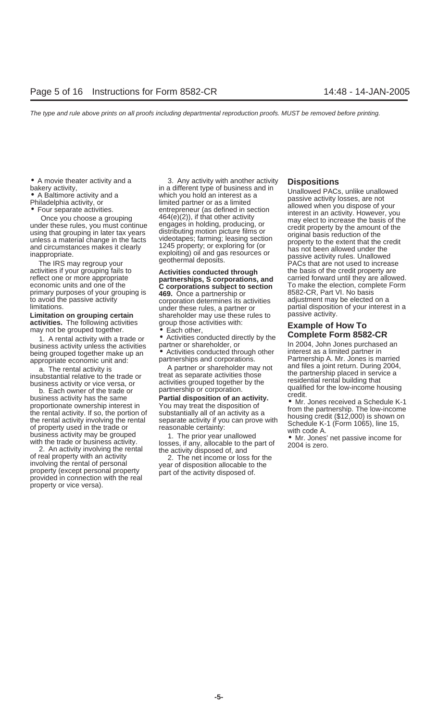to avoid the passive activity corporation determines its activities in activities and a partner or and a be elected on and a partner or and a be elected on and a partner or and a be elected on a partner or and a be elected

**activities.** The following activities group those activities with: **Example of How To** may not be grouped together. • **Each other,** 

business activity unless the activities partner or shareholder, or The 2004, John Jones purchase<br>being grouped together make up an Christities conducted through other interest as a limited partner in being grouped together make up an • Activities conducted through other appropriate economic unit and: partnerships and corporations.

a. The rental activity is<br>
insubstantial relative to the trade or<br>
business activity is<br>
business activity or vice versa, or<br>
b. Each owner of the trade or<br>
b. Each owner of the trade or<br>
b. Each owner of the trade or<br>
bus

or real property with an activity<br>involving the rental of personal year of disposition allocable to the<br>property (except personal property part of the activity disposed of.<br>provided in connection with the real property or vice versa).

<ul>\n<li> A movie theater activity and a <b>AA</b> is a particular activity with another activity <b>Dispositions</b> in a different type of business and in a different type of business and the <b>AA</b> is a more than interest as a <b>AA</b> is a more than a <b>AA</b> is a more than a <b>AA</b> is a more than a <b>AA</b> is a more than a <b>AA</b> is a more than a <b>AA</b> is a more than a <b>AA</b> is a more than a <b>AA</b> is a more than a <b>AA</b> is a more than a <b>AA</b> is a more than a <b>AA</b> is a more than a <b>AA</b> is a more than a <b>AA</b> is a more than a <b>

**C corporations subject to section** To make the election, comp<br>469. Once a partnership or Formal B582-CR, Part VI. No basis primary purposes of your grouping is **469.** Once a partnership or **8582-CR, Part VI. No basis**<br>to avoid the passive activity corporation determines its activities adjustment may be elected on a limitations.<br> **Limitation on grouping certain** end on the shareholder may use these rules to passive activity. shareholder may use these rules to group those activities with:

fractive groupour tegement.<br>1. A rental activity with a trade or **Complete Form 8582-CR**<br>siness activity unless the activities partner or shareholder, or **the analyzing of the State of a complete** Form

inappropriate. The IRS may regroup your grouping fails to the credit properties if your grouping fails to activities conducted through the basis of the credit property are reflect one or more appropriate **the credit proper** reflect one or more appropriate **partnerships, S corporations, and** carried forward until they are allowed.<br> **C corporations subject to section** To make the election, complete Form

Partnership A. Mr. Jones is married<br>and files a joint return. During 2004,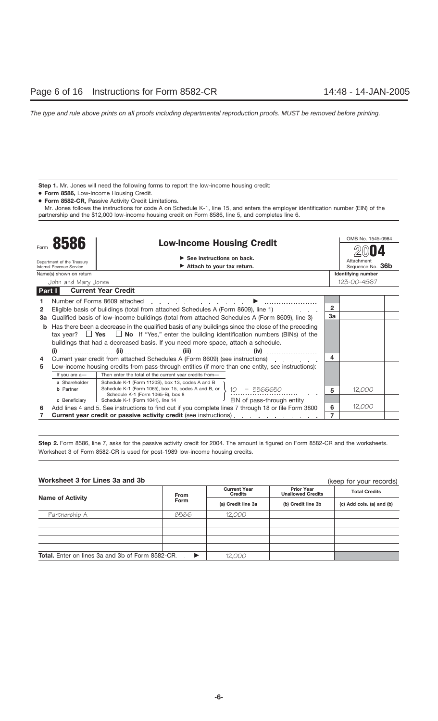Step 1. Mr. Jones will need the following forms to report the low-income housing credit:

- **Form 8586,** Low-Income Housing Credit.
- **Form 8582-CR,** Passive Activity Credit Limitations.

Mr. Jones follows the instructions for code A on Schedule K-1, line 15, and enters the employer identification number (EIN) of the partnership and the \$12,000 low-income housing credit on Form 8586, line 5, and completes line 6.

|        |                                                        |                                                                                                                                                                                                                                                                 |                                               |                | OMB No. 1545-0984         |  |  |
|--------|--------------------------------------------------------|-----------------------------------------------------------------------------------------------------------------------------------------------------------------------------------------------------------------------------------------------------------------|-----------------------------------------------|----------------|---------------------------|--|--|
|        | 8586                                                   | <b>Low-Income Housing Credit</b>                                                                                                                                                                                                                                |                                               |                |                           |  |  |
|        | $\triangleright$ See instructions on back.             |                                                                                                                                                                                                                                                                 |                                               |                | Attachment                |  |  |
|        | Department of the Treasury<br>Internal Revenue Service | $\blacktriangleright$ Attach to your tax return.                                                                                                                                                                                                                |                                               |                | Sequence No. 36b          |  |  |
|        | Name(s) shown on return                                |                                                                                                                                                                                                                                                                 |                                               |                | <b>Identifying number</b> |  |  |
|        | John and Mary Jones                                    |                                                                                                                                                                                                                                                                 |                                               |                | 123-00-4567               |  |  |
| Part I |                                                        | <b>Current Year Credit</b>                                                                                                                                                                                                                                      |                                               |                |                           |  |  |
|        |                                                        | Number of Forms 8609 attached<br>and the company of the company of the company of the company of the company of the company of the company of the company of the company of the company of the company of the company of the company of the company of the comp |                                               |                |                           |  |  |
| 2      |                                                        | Eligible basis of buildings (total from attached Schedules A (Form 8609), line 1) [169]. [169] [169]                                                                                                                                                            |                                               | $\overline{2}$ |                           |  |  |
| За     |                                                        | Qualified basis of low-income buildings (total from attached Schedules A (Form 8609), line 3)                                                                                                                                                                   |                                               | 3a             |                           |  |  |
| b      |                                                        | Has there been a decrease in the qualified basis of any buildings since the close of the preceding                                                                                                                                                              |                                               |                |                           |  |  |
|        |                                                        | tax year? $\Box$ Yes $\Box$ No If "Yes," enter the building identification numbers (BINs) of the                                                                                                                                                                |                                               |                |                           |  |  |
|        |                                                        | buildings that had a decreased basis. If you need more space, attach a schedule.                                                                                                                                                                                |                                               |                |                           |  |  |
|        | (i)                                                    |                                                                                                                                                                                                                                                                 |                                               |                |                           |  |  |
| 4      |                                                        | Current year credit from attached Schedules A (Form 8609) (see instructions) and the contract of the current s                                                                                                                                                  |                                               | 4              |                           |  |  |
| 5      |                                                        | Low-income housing credits from pass-through entities (if more than one entity, see instructions):                                                                                                                                                              |                                               |                |                           |  |  |
|        | If you are a-                                          | Then enter the total of the current year credits from-                                                                                                                                                                                                          |                                               |                |                           |  |  |
|        | a Shareholder                                          | Schedule K-1 (Form 1120S), box 13, codes A and B                                                                                                                                                                                                                |                                               |                |                           |  |  |
|        | <b>b</b> Partner                                       | Schedule K-1 (Form 1065), box 15, codes A and B, or<br>Schedule K-1 (Form 1065-B), box 8                                                                                                                                                                        |                                               | 5              | 12,000                    |  |  |
|        | c Beneficiary                                          | Schedule K-1 (Form 1041), line 14                                                                                                                                                                                                                               | $10 - 55666650$<br>EIN of pass-through entity |                |                           |  |  |
| 6      |                                                        | Add lines 4 and 5. See instructions to find out if you complete lines 7 through 18 or file Form 3800                                                                                                                                                            |                                               | 6              | 12,000                    |  |  |
|        |                                                        | Current year credit or passive activity credit (see instructions).                                                                                                                                                                                              |                                               |                |                           |  |  |

Step 2. Form 8586, line 7, asks for the passive activity credit for 2004. The amount is figured on Form 8582-CR and the worksheets. Worksheet 3 of Form 8582-CR is used for post-1989 low-income housing credits.

## **Worksheet 3 for Lines 3a and 3b**

(keep for your records)

|                                                              |             |                                       |                                               | INCOP IOI YOUI ICCOIDD    |  |
|--------------------------------------------------------------|-------------|---------------------------------------|-----------------------------------------------|---------------------------|--|
| <b>Name of Activity</b>                                      | <b>From</b> | <b>Current Year</b><br><b>Credits</b> | <b>Prior Year</b><br><b>Unallowed Credits</b> | <b>Total Credits</b>      |  |
|                                                              | Form        | (a) Credit line 3a                    | (b) Credit line 3b                            | (c) Add cols. (a) and (b) |  |
| Partnership A                                                | 8586        | 12,000                                |                                               |                           |  |
|                                                              |             |                                       |                                               |                           |  |
|                                                              |             |                                       |                                               |                           |  |
|                                                              |             |                                       |                                               |                           |  |
|                                                              |             |                                       |                                               |                           |  |
| <b>Total.</b> Enter on lines 3a and 3b of Form 8582-CR.<br>▶ |             | 12,000                                |                                               |                           |  |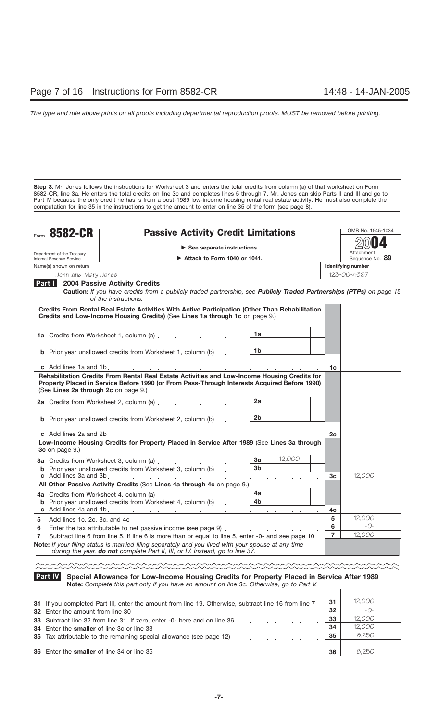**Step 3.** Mr. Jones follows the instructions for Worksheet 3 and enters the total credits from column (a) of that worksheet on Form 8582-CR, line 3a. He enters the total credits on line 3c and completes lines 5 through 7. Mr. Jones can skip Parts II and III and go to Part IV because the only credit he has is from a post-1989 low-income housing rental real estate activity. He must also complete the computation for line 35 in the instructions to get the amount to enter on line 35 of the form (see page 8).

| Form | 8582-CR<br><b>Passive Activity Credit Limitations</b>  |                                                                                                                                                                                                                                                                                                                                     |                      |        | OMB No. 1545-1034 |                               |  |  |
|------|--------------------------------------------------------|-------------------------------------------------------------------------------------------------------------------------------------------------------------------------------------------------------------------------------------------------------------------------------------------------------------------------------------|----------------------|--------|-------------------|-------------------------------|--|--|
|      |                                                        | $\triangleright$ See separate instructions.                                                                                                                                                                                                                                                                                         |                      |        |                   |                               |  |  |
|      | Department of the Treasury<br>Internal Revenue Service | $\blacktriangleright$ Attach to Form 1040 or 1041.                                                                                                                                                                                                                                                                                  |                      |        |                   | Attachment<br>Sequence No. 89 |  |  |
|      | Name(s) shown on return                                |                                                                                                                                                                                                                                                                                                                                     |                      |        |                   | Identifying number            |  |  |
|      | John and Mary Jones                                    |                                                                                                                                                                                                                                                                                                                                     |                      |        |                   | 123-00-4567                   |  |  |
|      | Part I                                                 | <b>2004 Passive Activity Credits</b><br>Caution: If you have credits from a publicly traded partnership, see Publicly Traded Partnerships (PTPs) on page 15<br>of the instructions.                                                                                                                                                 |                      |        |                   |                               |  |  |
|      |                                                        | Credits From Rental Real Estate Activities With Active Participation (Other Than Rehabilitation<br>Credits and Low-Income Housing Credits) (See Lines 1a through 1c on page 9.)                                                                                                                                                     |                      |        |                   |                               |  |  |
|      |                                                        | 1a Credits from Worksheet 1, column (a)                                                                                                                                                                                                                                                                                             | 1a                   |        |                   |                               |  |  |
|      |                                                        | <b>b</b> Prior year unallowed credits from Worksheet 1, column (b)                                                                                                                                                                                                                                                                  | 1b                   |        |                   |                               |  |  |
|      |                                                        |                                                                                                                                                                                                                                                                                                                                     |                      |        | 1c                |                               |  |  |
|      | (See Lines 2a through 2c on page 9.)                   | Rehabilitation Credits From Rental Real Estate Activities and Low-Income Housing Credits for<br>Property Placed in Service Before 1990 (or From Pass-Through Interests Acquired Before 1990)<br>2a Credits from Worksheet 2, column (a)<br><b>b</b> Prior year unallowed credits from Worksheet 2, column (b) $\ldots$ $\boxed{2b}$ | 2a                   |        |                   |                               |  |  |
|      |                                                        |                                                                                                                                                                                                                                                                                                                                     |                      |        | 2c                |                               |  |  |
|      | <b>3c</b> on page 9.)                                  | Low-Income Housing Credits for Property Placed in Service After 1989 (See Lines 3a through                                                                                                                                                                                                                                          |                      |        |                   |                               |  |  |
|      |                                                        | 3a Credits from Worksheet 3, column (a)<br><b>b</b> Prior year unallowed credits from Worksheet 3, column (b) $\ldots$                                                                                                                                                                                                              | 3a<br>3 <sub>b</sub> | 12,000 |                   |                               |  |  |
|      |                                                        |                                                                                                                                                                                                                                                                                                                                     |                      |        | 3c                | 12,000                        |  |  |
|      |                                                        | All Other Passive Activity Credits (See Lines 4a through 4c on page 9.)                                                                                                                                                                                                                                                             |                      |        |                   |                               |  |  |
|      |                                                        | 4a Credits from Worksheet 4, column (a)<br><b>b</b> Prior year unallowed credits from Worksheet 4, column (b) $\ldots$ $\begin{array}{ccc} 4b & 4b \end{array}$                                                                                                                                                                     | 4a l                 |        | 4c                |                               |  |  |
| 5    |                                                        |                                                                                                                                                                                                                                                                                                                                     |                      |        | 5                 | 12,000                        |  |  |
| 6    |                                                        | Enter the tax attributable to net passive income (see page 9)                                                                                                                                                                                                                                                                       |                      |        | 6                 | $-() -$                       |  |  |
| 7    |                                                        | Subtract line 6 from line 5. If line 6 is more than or equal to line 5, enter -0- and see page 10                                                                                                                                                                                                                                   |                      |        | $\overline{7}$    | 12,000                        |  |  |
|      |                                                        | Note: If your filing status is married filing separately and you lived with your spouse at any time<br>during the year, do not complete Part II, III, or IV. Instead, go to line 37.                                                                                                                                                |                      |        |                   |                               |  |  |
|      |                                                        |                                                                                                                                                                                                                                                                                                                                     |                      |        |                   |                               |  |  |
|      | Part IV                                                | Special Allowance for Low-Income Housing Credits for Property Placed in Service After 1989<br>Note: Complete this part only if you have an amount on line 3c. Otherwise, go to Part V.                                                                                                                                              |                      |        |                   |                               |  |  |
|      |                                                        | 31 If you completed Part III, enter the amount from line 19. Otherwise, subtract line 16 from line 7                                                                                                                                                                                                                                |                      |        | 31                | 12,000                        |  |  |
|      | 32 Enter the amount from line 30,                      | design and the contract of the contract of the contract of the contract of the contract of the contract of the                                                                                                                                                                                                                      |                      |        | 32                | -0-                           |  |  |
|      |                                                        | 33 Subtract line 32 from line 31. If zero, enter -0- here and on line 36                                                                                                                                                                                                                                                            |                      |        | 33                | 12,000                        |  |  |

| 34 Enter the smaller of line 3c or line 33 reading the state of the smaller of line 3c or line 3c.                                                                                                                                                                                         |       |
|--------------------------------------------------------------------------------------------------------------------------------------------------------------------------------------------------------------------------------------------------------------------------------------------|-------|
| <b>35</b> Tax attributable to the remaining special allowance (see page 12) $\ldots$ , $\ldots$ , $\ldots$                                                                                                                                                                                 | 9,250 |
|                                                                                                                                                                                                                                                                                            |       |
| <b>36</b> Enter the <b>smaller</b> of line 34 or line 35<br>in the contract of the contract of the contract of the contract of the contract of the contract of the contract of the contract of the contract of the contract of the contract of the contract of the contract of the contrac | 9.250 |

**34** Enter the **smaller** of line 3c or line 33 **34**

12,000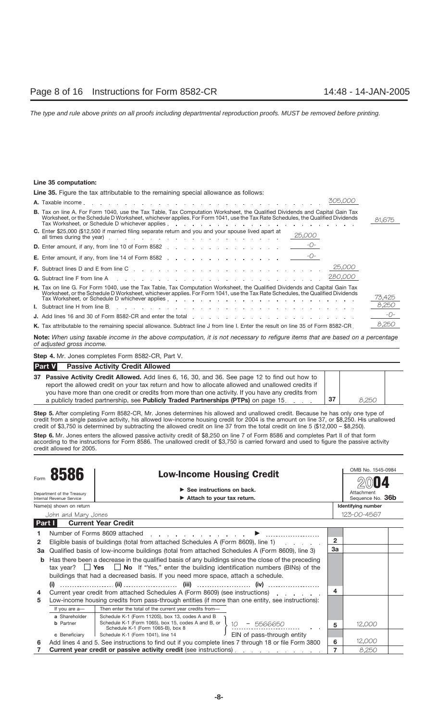## **Line 35 computation:**

| <b>Line 35.</b> Figure the tax attributable to the remaining special allowance as follows:                                                                                                                                                                          |                                  |
|---------------------------------------------------------------------------------------------------------------------------------------------------------------------------------------------------------------------------------------------------------------------|----------------------------------|
| 305,000                                                                                                                                                                                                                                                             |                                  |
| <b>B.</b> Tax on line A. For Form 1040, use the Tax Table, Tax Computation Worksheet, the Qualified Dividends and Capital Gain Tax<br>Worksheet, or the Schedule D Worksheet, whichever applies. For Form 1041, use the Tax Rate Schedules, the Qualified Dividends | 81,675                           |
| C. Enter \$25,000 (\$12,500 if married filing separate return and you and your spouse lived apart at<br>25,000                                                                                                                                                      |                                  |
| <b>D.</b> Enter amount, if any, from line 10 of Form 8582 $\frac{-O-1}{2}$                                                                                                                                                                                          |                                  |
| <b>E.</b> Enter amount, if any, from line 14 of Form 8582 $\frac{-O-1}{2}$                                                                                                                                                                                          |                                  |
|                                                                                                                                                                                                                                                                     |                                  |
|                                                                                                                                                                                                                                                                     |                                  |
| H. Tax on line G. For Form 1040, use the Tax Table, Tax Computation Worksheet, the Qualified Dividends and Capital Gain Tax<br>Worksheet, or the Schedule D Worksheet, whichever applies. For Form 1041, use the Tax Rate Schedules, the Qualified Dividends        | 73,425                           |
|                                                                                                                                                                                                                                                                     | 8,250                            |
| J. Add lines 16 and 30 of Form 8582-CR and enter the total enterstand contact and contact and contact and contact and contact and contact and contact and contact and contact and contact and contact and contact and contact                                       | $\frac{1}{\sqrt{1-\frac{1}{2}}}$ |
| K. Tax attributable to the remaining special allowance. Subtract line J from line I. Enter the result on line 35 of Form 8582-CR.                                                                                                                                   | 8,250                            |
|                                                                                                                                                                                                                                                                     |                                  |

**Note:** *When using taxable income in the above computation, it is not necessary to refigure items that are based on a percentage of adjusted gross income.*

**Step 4.** Mr. Jones completes Form 8582-CR, Part V.

| <b>Part V</b><br><b>Passive Activity Credit Allowed</b>                                            |    |       |
|----------------------------------------------------------------------------------------------------|----|-------|
| 37 Passive Activity Credit Allowed. Add lines 6, 16, 30, and 36. See page 12 to find out how to    |    |       |
| report the allowed credit on your tax return and how to allocate allowed and unallowed credits if  |    |       |
| you have more than one credit or credits from more than one activity. If you have any credits from |    |       |
| a publicly traded partnership, see <b>Publicly Traded Partnerships (PTPs)</b> on page 15.          | 37 | 8.250 |

**Step 5.** After completing Form 8582-CR, Mr. Jones determines his allowed and unallowed credit. Because he has only one type of credit from a single passive activity, his allowed low-income housing credit for 2004 is the amount on line 37, or \$8,250. His unallowed credit of \$3,750 is determined by subtracting the allowed credit on line 37 from the total credit on line 5 (\$12,000 – \$8,250).

Step 6. Mr. Jones enters the allowed passive activity credit of \$8,250 on line 7 of Form 8586 and completes Part II of that form according to the instructions for Form 8586. The unallowed credit of \$3,750 is carried forward and used to figure the passive activity credit allowed for 2005.

|                                                                          |                          |                                                                                                      |                | OMB No. 1545-0984         |  |
|--------------------------------------------------------------------------|--------------------------|------------------------------------------------------------------------------------------------------|----------------|---------------------------|--|
|                                                                          |                          | <b>Low-Income Housing Credit</b>                                                                     |                |                           |  |
| $\triangleright$ See instructions on back.<br>Department of the Treasury |                          |                                                                                                      |                | Attachment                |  |
|                                                                          | Internal Revenue Service | Attach to your tax return.                                                                           |                | Sequence No. 36b          |  |
|                                                                          | Name(s) shown on return  |                                                                                                      |                | <b>Identifying number</b> |  |
|                                                                          | John and Mary Jones      |                                                                                                      |                | 123-00-4567               |  |
| Part I                                                                   |                          | <b>Current Year Credit</b>                                                                           |                |                           |  |
|                                                                          |                          | Number of Forms 8609 attached                                                                        |                |                           |  |
| 2                                                                        |                          | Eligible basis of buildings (total from attached Schedules A (Form 8609), line 1)                    | $\overline{2}$ |                           |  |
| За                                                                       |                          | Qualified basis of low-income buildings (total from attached Schedules A (Form 8609), line 3)        | 3a             |                           |  |
| b                                                                        |                          | Has there been a decrease in the qualified basis of any buildings since the close of the preceding   |                |                           |  |
|                                                                          | tax vear?                | $\Box$ Yes $\Box$ No If "Yes," enter the building identification numbers (BINs) of the               |                |                           |  |
|                                                                          |                          | buildings that had a decreased basis. If you need more space, attach a schedule.                     |                |                           |  |
|                                                                          |                          |                                                                                                      |                |                           |  |
| 4                                                                        |                          | Current year credit from attached Schedules A (Form 8609) (see instructions)                         | 4              |                           |  |
| 5                                                                        |                          | Low-income housing credits from pass-through entities (if more than one entity, see instructions):   |                |                           |  |
|                                                                          | If you are a-            | Then enter the total of the current year credits from-                                               |                |                           |  |
|                                                                          | a Shareholder            | Schedule K-1 (Form 1120S), box 13, codes A and B                                                     |                |                           |  |
|                                                                          | <b>b</b> Partner         | Schedule K-1 (Form 1065), box 15, codes A and B, or<br>55666650<br>Schedule K-1 (Form 1065-B), box 8 | 5              | 12,000                    |  |
|                                                                          | c Beneficiary            | EIN of pass-through entity<br>Schedule K-1 (Form 1041), line 14                                      |                |                           |  |
|                                                                          |                          | Add lines 4 and 5. See instructions to find out if you complete lines 7 through 18 or file Form 3800 | 6              | 12,000                    |  |
|                                                                          |                          | Current year credit or passive activity credit (see instructions).                                   |                | 8,250                     |  |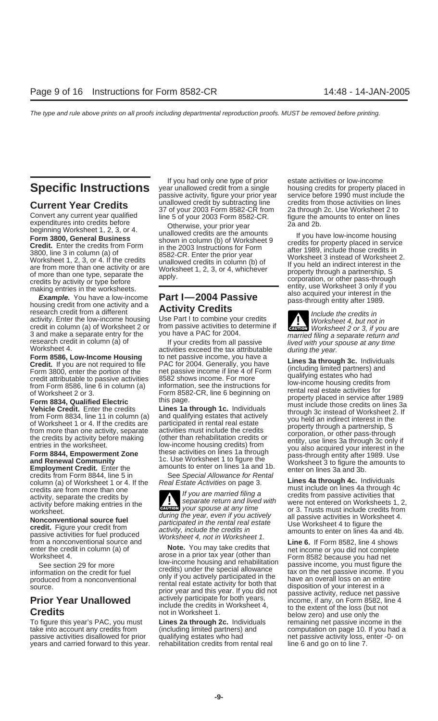Example. Fou have a low-income<br>housing credit from one activity and a<br>research credit from a different<br>activity. Enter the low-income housing Use Part I to combine your credits<br>worksheet 4, but not in credit in column (a) of Worksheet 2 or from passive activities to determine if 3 and make a separate entry for the you have a PAC for 2004. 3 and make a separate entry for the you have a PAC for 2004.<br>
research credit in column (a) of let your credits from all passive *married filing a separate return and*<br>
Worksheet 4. activities exceed the tax attributable

**Form 8586, Low-Income Housing** to net passive income, you have a<br> **Credit.** If you are not required to file PAC for 2004. Generally, you have **Lines 3a through 3c.** Individuals<br>
Form 3800, enter the portion of the net pas

credits from Form 8844, line 5 in See Special Allowance for Rental<br>column (a) of Worksheet 1 or 4. If the Real Estate Activities on page 3. Lines 4a through 4c. Individuals<br>credits are from more than one the set on the set

To figure this year's PAC, you must **Lines 2a through 2c.** Individuals remaining net passive income in the take into account any credits from (including limited partners) and computation on page 10. If you had a passive activities disallowed for prior qualifying estates who had net passive activity loss, enter -0- on years and carried forward to this year. rehabilitation credits from rental real line 6 and go on to line 7.

If you had only one type of prior estate activities or low-income<br> **Specific Instructions** year unallowed credit from a single housing credits for property placed in<br>
passive activity, figure your prior year service before passive activity, figure your prior year

beginning Worksheet 1, 2, 3, or 4.<br> **Form 3800, General Business** shown in column (b) of Worksheet 9<br> **Credit.** Enter the credits from Form in the 2003 Instructions for Form after 1989, include those credits in<br>
3800, line

Worksheet.<br> **Nonconventional source fuel**<br> **Nonconventional source fuel**<br> **Nonconventional source fuel**<br> **Credit.** Figure your credit from<br>
passive activities for fuel produced<br>
passive activities for fuel produced<br> *Credi* 

**Current Year Credits**<br>Convert any current year qualified<br>expenditures into credits before<br>expenditures into credits before<br>Otherwise, your prior year and 2b.<br>Otherwise, your prior year and 2b.

3800, line 3 in column (a) of<br>
Worksheet 1, 2, 3, or 4. If the credits<br>
are from more than one activity or are<br>
of more than one type, separate the<br>
of more than one type, separate the<br>
of more than one type, separate the<br>

**ENTION** Worksheet 2 or 3, if you are

From Bosse, line 6 in column (a) information, see the instructions for<br>
from Form 8586, line 6 in column (a) information, see the instructions for<br> **Form 8834, Qualified Electric** this page.<br> **Form 8834, Qualified Electric** 

activity, separate the credits by activity, separate the credits by activity, separate the credits by activity hefore making entries in the separate return and lived with were not entered on Worksheets 1, 2, activity, separate the credits by<br>activity before making entries in the separate return and lived with were not entered on Worksheets 1, 2,<br>worksheet on Worksheets 1, 2,<br>worksheet

First Trie and **Example the COUT COUT COUT COUT COUT**<br>
The Courman (a) of<br>
Worksheet 4.<br>
See section 29 for more<br>
information on the credit for fuel<br>
outincome bousing and rehabilitation<br>
only if you actively participated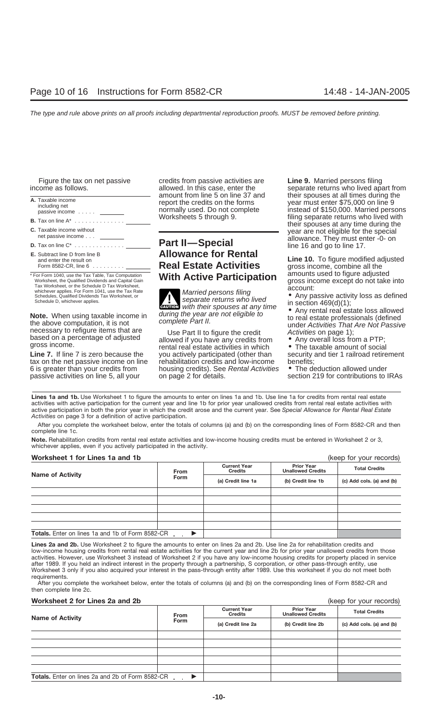| A. Taxable income<br>including net<br>passive income                                                                                                          |
|---------------------------------------------------------------------------------------------------------------------------------------------------------------|
| <b>B.</b> Tax on line $A^*$                                                                                                                                   |
| <b>C.</b> Taxable income without<br>net passive income                                                                                                        |
| <b>D.</b> Tax on line $C^*$                                                                                                                                   |
| <b>E.</b> Subtract line D from line B<br>and enter the result on<br>Form 8582-CR, line 6 .........                                                            |
| * For Form 1040, use the Tax Table, Tax Computation<br>Worksheet, the Qualified Dividends and Capital Gain<br>Tax Worksheet, or the Schedule D Tax Worksheet, |

Worksheet, the Qualified Dividends and Capital Gain<br>
Tax Worksheet, or the Schedule D Tax Worksheet,<br>
Schedules, Qualified Dividends Tax Worksheet, or<br>
Schedule D, whichever applies.<br>
Schedule D, whichever applies.<br>
Schedu

Figure the tax on net passive credits from passive activities are **Line 9.** Married persons filing

# **Part II—Special** and and go to line 17. **Allowance for Rental**

**ENTION** with their spouses at any time

the above computation, it is not<br>necessary to refigure items that are<br>based on a percentage of adjusted<br>gross income.<br>**Line 7.** If line 7 is zero because the you actively participated (other than<br>veral real estate activiti you actively participated (other than security<br>
rehabilitation credits and low-income benefits; tax on the net passive income on line rehabilitation credits and low-income benefits;<br>6 is greater than your credits from housing credits). See Rental Activities • The deduction allowed under 6 is greater than your credits from housing credits). See Rental Activities passive activities on line 5, all your on page 2 for details. Section 219 for contributions to IRAs

income as follows.<br>allowed. In this case, enter the separate returns who lived apart from<br>amount from line 5 on line 37 and their spouses at all times during the mount from line 5 on line 37 and their spouses at all times during the port the credits on the forms year must enter \$75,000 on line 9 ormally used. Do not complete instead of \$150,000. Married persor passive income ..... normally used. Do not complete instead of \$150,000. Married persons filing separate returns who lived with their spouses at any time during the year are not eligible for the special<br>allowance. They must enter -0- on

> **and warrow is a result on the result on the result of the results of the results of the results of the results**<br>**Real Estate Activities** aross income combine all the gross income, combine all the<br>amounts used to figure adjusted **The Active Participation** all allowing used to figure adjusted **Notable** and **Reset to Figure and the figure and to figure** and the into **Notable**

**Note.** When using taxable income in their spouses at any time<br>the above computation, it is not the above computation, it is not the above computation, it is not the above complete Part II.

Lines 1a and 1b. Use Worksheet 1 to figure the amounts to enter on lines 1a and 1b. Use line 1a for credits from rental real estate activities with active participation for the current year and line 1b for prior year unallowed credits from rental real estate activities with active participation in both the prior year in which the credit arose and the current year. See *Special Allowance for Rental Real Estate Activities* on page 3 for a definition of active participation.

After you complete the worksheet below, enter the totals of columns (a) and (b) on the corresponding lines of Form 8582-CR and then complete line 1c.

**Note.** Rehabilitation credits from rental real estate activities and low-income housing credits must be entered in Worksheet 2 or 3, whichever applies, even if you actively participated in the activity.

**Worksheet 1 for Lines 1a and 1b** (keep for your records) **Prior Year Unallowed Credits Current Year Critical Credits**<br> **Credits Credits Credits Credit Indived Credits Credit line 1a (b)** Credit line 1b **(c)** Add cols. (a) and (b) **Totals.** Enter on lines 1a and 1b of Form 8582-CR -▶

**Lines 2a and 2b.** Use Worksheet 2 to figure the amounts to enter on lines 2a and 2b. Use line 2a for rehabilitation credits and low-income housing credits from rental real estate activities for the current year and line 2b for prior year unallowed credits from those activities. However, use Worksheet 3 instead of Worksheet 2 if you have any low-income housing credits for property placed in service after 1989. If you held an indirect interest in the property through a partnership, S corporation, or other pass-through entity, use Worksheet 3 only if you also acquired your interest in the pass-through entity after 1989. Use this worksheet if you do not meet both requirements.

After you complete the worksheet below, enter the totals of columns (a) and (b) on the corresponding lines of Form 8582-CR and then complete line 2c.

## **Worksheet 2 for Lines 2a and 2b (keep for your records)** (keep for your records)

|                                                         | <b>From</b> | <b>Current Year</b><br><b>Credits</b> | <b>Prior Year</b><br><b>Unallowed Credits</b> | <b>Total Credits</b>      |  |
|---------------------------------------------------------|-------------|---------------------------------------|-----------------------------------------------|---------------------------|--|
| <b>Name of Activity</b>                                 | <b>Form</b> | (a) Credit line 2a                    | (b) Credit line 2b                            | (c) Add cols. (a) and (b) |  |
|                                                         |             |                                       |                                               |                           |  |
|                                                         |             |                                       |                                               |                           |  |
|                                                         |             |                                       |                                               |                           |  |
|                                                         |             |                                       |                                               |                           |  |
|                                                         |             |                                       |                                               |                           |  |
| <b>Totals.</b> Enter on lines 2a and 2b of Form 8582-CR |             |                                       |                                               |                           |  |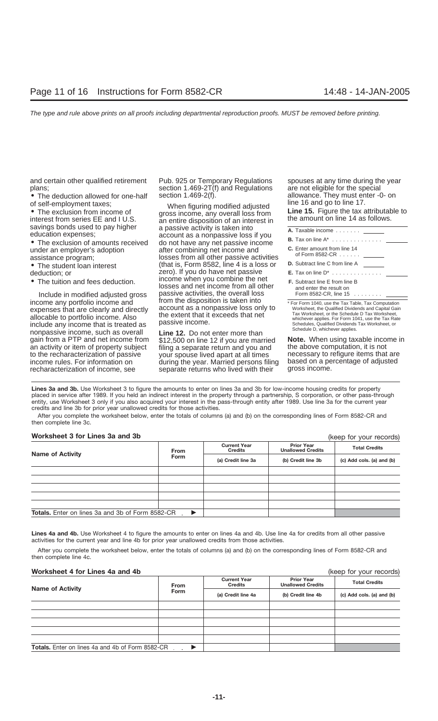and certain other qualified retirement Pub. 925 or Temporary Regulations spouses at any time during the year

• The deduction allowed for one-half section 1.469-2(f). allowance. They must enter -0. allowance. They must enter -0. of self-employment taxes;

under an employer's adoption after combining net income and

- 
- 

Include in modified adjusted gross passive activities, the overall loss<br>income any portfolio income and from the disposition is taken into income any portfolio income and<br>expenses that are clearly and directly<br>allocable to portfolio income. Also the extent that it exceeds that net<br>include any income that is treated as<br>nonpassive income, such as overall<br>nonpas nonpassive income, such as overall Line 12. Do not enter more than<br>gain from a PTP and net income from \$12,500 on line 12 if you are married **Note.** When using taxable income in<br>an activity or item of property subject fili an activity or item of property subject filing a separate return and you and the above computation, it is not<br>to the recharacterization of passive vour spouse lived apart at all times enecessary to refigure items that are to the recharacterization of passive your spouse lived apart at all times necessary to refigure items that are<br>income rules. For information on during the year. Married persons filing based on a percentage of adjusted recharacterization of income, see separate returns who lived with their

plans; section 1.469-2T(f) and Regulations are not eligible for the special<br>• The deduction allowed for one-half section 1.469-2(f). allowance. They must enter -0- on

of self-employment taxes;<br>
• The exclusion from income of gross income, any overall loss from<br>
interest from series EE and I U.S.<br>
savings bonds used to pay higher a passive activity is taken into<br>
education expenses; acc assistance program; including the set of the sessistance program; including the sessistance program; • The student loan interest (that is, Form 8582, line 4 is a loss or deduction; or  $\begin{array}{c} \n\text{2} \text{er}(\text{1}) = \text{er}(\text{2}) = \text{er}(\text{3}) = \text{er}(\text{3}) = \text{er}(\text{4}) = \text{er}(\text{4}) = \text{er}(\text{4}) = \text{er}(\text{4}) = \text{er}(\text{4}) = \text{er}(\text{4}) = \text{er}(\text{4}) = \text{$ zero). If you do have net passive<br>income when you combine the net • The tuition and fees deduction. **F. S. Subtember 1998** The tuition and fees deduction.<br>Include in modified adjusted gross and net income from all other passive activities, the overall loss

during the year. Married persons filing based on a percentage versons filing based on a percentage of an angula

| <b>A.</b> Taxable income _______                                                                                                                              |
|---------------------------------------------------------------------------------------------------------------------------------------------------------------|
| <b>B.</b> Tax on line $A^*$                                                                                                                                   |
| C. Enter amount from line 14<br>of Form 8582-CR $\dots$                                                                                                       |
| <b>D.</b> Subtract line C from line A                                                                                                                         |
| <b>E.</b> Tax on line $D^*$                                                                                                                                   |
| <b>F.</b> Subtract line E from line B<br>and enter the result on<br>Form 8582-CR, line $15$                                                                   |
| * For Form 1040, use the Tax Table, Tax Computation<br>Worksheet, the Qualified Dividends and Capital Gain<br>Tax Worksheet, or the Schedule D Tax Worksheet. |

**Lines 3a and 3b.** Use Worksheet 3 to figure the amounts to enter on lines 3a and 3b for low-income housing credits for property placed in service after 1989. If you held an indirect interest in the property through a partnership, S corporation, or other pass-through entity, use Worksheet 3 only if you also acquired your interest in the pass-through entity after 1989. Use line 3a for the current year credits and line 3b for prior year unallowed credits for those activities.

After you complete the worksheet below, enter the totals of columns (a) and (b) on the corresponding lines of Form 8582-CR and then complete line 3c.

## **Worksheet 3 for Lines 3a and 3b**

| Worksheet 3 for Lines 3a and 3b                           |               |                                       |                                               | (keep for your records)                           |  |
|-----------------------------------------------------------|---------------|---------------------------------------|-----------------------------------------------|---------------------------------------------------|--|
| <b>Name of Activity</b>                                   | From          | <b>Current Year</b><br><b>Credits</b> | <b>Prior Year</b><br><b>Unallowed Credits</b> | <b>Total Credits</b><br>(c) Add cols. (a) and (b) |  |
|                                                           | <b>Form</b>   | (a) Credit line 3a                    | (b) Credit line 3b                            |                                                   |  |
|                                                           |               |                                       |                                               |                                                   |  |
|                                                           |               |                                       |                                               |                                                   |  |
|                                                           |               |                                       |                                               |                                                   |  |
|                                                           |               |                                       |                                               |                                                   |  |
|                                                           |               |                                       |                                               |                                                   |  |
| <b>Totals.</b> Enter on lines 3a and 3b of Form 8582-CR . | $\rightarrow$ |                                       |                                               |                                                   |  |

Lines 4a and 4b. Use Worksheet 4 to figure the amounts to enter on lines 4a and 4b. Use line 4a for credits from all other passive activities for the current year and line 4b for prior year unallowed credits from those activities.

After you complete the worksheet below, enter the totals of columns (a) and (b) on the corresponding lines of Form 8582-CR and then complete line 4c.

## **Worksheet 4 for Lines 4a and 4b** (keep for your records)

**Prior Year Unallowed Credits Current Year Credits Credits Credits Credits Credit College in the Credit Credit Credit included Credits Total Credits Total Credits Form (a) Credit line 4a (b) Credit line 4b (c) Add cols. (a) and (b) Totals.** Enter on lines 4a and 4b of Form 8582-CR - $\blacktriangleright$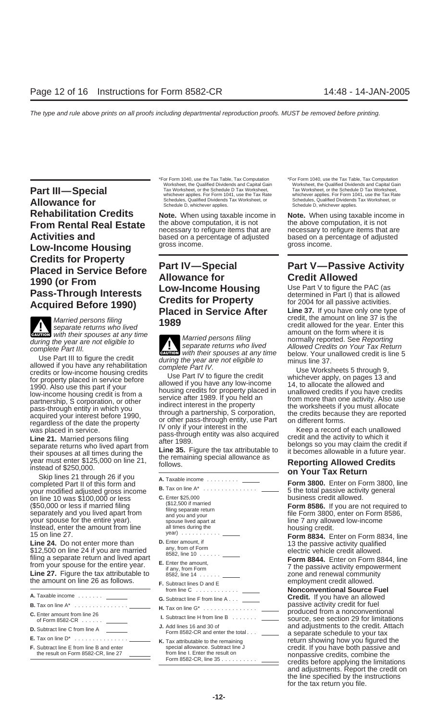**Part III—Special** Tax Worksheet, or the Schedule D Tax Worksheet, or the Schedule D Tax Norksheet, or the Schedule D Tax Norksheet, or the Schedule D Tax Worksheet, or the Schedule D Tax Worksheet, or Norksheet, or Norksh Allowance for Schedules, Qualified Dividends Tax Worksheet, or Schedules, Qualified Dividends Tax Worksheet, or<br>Schedule D, whichever applies. Schedule D, whichever applies. **Rehabilitation Credits Note.** When using taxable income in **Note.** When using taxable income in **From Pontal Poal Estato** the above computation. it is not the above computation. it is not **From Rental Real Estate** the above computation, it is not the above computation, it is not **Rental Real Estate** necessary to refigure items that are necessary to refigure items that are **necessary** to refigure items that **Low-Income Housing** Credits for Property<br>
Placed in Service Before<br>
1990 (or From<br>
Pass-Through Interests<br>
Acquired Before 1990)<br>
Placed in Service After<br>
Placed in Service After<br>
Line 37. If you have only one type of

**CAUTION** with their spouses at any time<br> **CAUTION** amount on the form where it is **any time** amount on the form where it is **a** large the vear are not eligible to

Use Part III to figure the credit of the same in the same in the same in the same in the same in the same in the same in the same in the same in the same in the same in the same in the same of the property placed in servi

on line 10 was \$100,000 or less **C.** Enter \$25,000<br>(\$50,000 or less if married filing (\$12,500 if married

\*For Form 1040, use the Tax Table, Tax Computation \*For Form 1040, use the Tax Table, Tax Computation Worksheet, the Qualified Dividends and Capital Gain

based on a percentage of adjusted based on a percentage of adjusted **arrow** a percentage of adjusted **by** a percentage of adjusted

during the year are not eligible to<br>complete Part III. effective the condition of the separate returns who lived<br>les Part III to figure the credit **ENTION** with their spouses at any time

**B.** Tax on line A\* ............... your modified adjusted gross income 5 the total passive activity general (\$50,000 or less if married filing (\$12,500 if married<br>
Separately and you lived apart from and your separate return separate return separate return separate return separate return file Form 3800, enter on Form 8586,<br>
your your spouse for the entire year). Spouse lived apart at spouse line 7 any allowed low-income line 7 any allowed low-income line is all times during the spouse lived apart at line 3 any allowed low-income line is all times Instead, enter the amount from line all times during the housing credit.<br>15 on line 27. <br>**Line 24.** Do not enter more than **D.** Enter amount, if **Form 8834.** Enter on Form 8834, line **Line 24.** Do not enter more than **Line 24.** Do not enter more than **D.** Enter amount, if 13 the passive activity qualified any, from of Form \$12,500 on line 24 if you are married electric vehicle credit allowed. 8582, line 10 ...... filing a separate return and lived apart **Form 8844.** Enter on Form 8844, line **E.** Enter the amount, from your spouse for the entire year. 7 the passive activity empowerment if any, from Form **Line 27.** Figure the tax attributable to 8582, line 14 ...... zone and renewal community Line 27. Figure the tax attributable to ass<sup>2</sup>, line 14 million the amount community<br>the amount on line 26 as follows. **F.** Subtract lines D and E employment credit allowed. from line C ............ **Nonconventional Source Fuel A.** Taxable income ....... **G.** Subtract line F from line A . . . **Credit.** If you have an allowed **B.** Tax on line A\* ............... passive activity credit for fuel **H.** Tax on line G\* ............... produced from a nonconventional **C.** Enter amount from line 26 **I.** Subtract line H from line B ....... of Form 8582-CR ...... source, see section 29 for limitations **J.** Add lines 16 and 30 of and adjustments to the credit. Attach **D.** Subtract line C from line A Form 8582-CR and enter the total . . . a separate schedule to your tax **E.** Tax on line D\* ............... **K.** Tax attributable to the remaining return showing how you figured the

Tax Worksheet, or the Schedule D Tax Worksheet, whichever applies. For Form 1041, use the Tax Rate

**Placed in Service After** Line 37. If you have only one type of<br>Married persons filing<br>separate returns who lived<br>with their spouses at any time

**F.** Subtract line E from line B and enter special allowance. Subtract line J credit. If you have both passive and the result on Form 8582-CR, line 27 from line I. Enter the result on nonpassive credits, combine the Form 8582-CR, line 35 .......... credits before applying the limitations and adjustments. Report the credit on the line specified by the instructions for the tax return you file.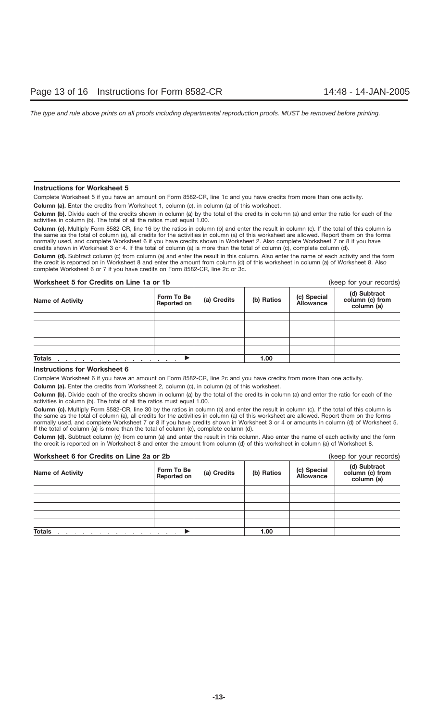## **Instructions for Worksheet 5**

Complete Worksheet 5 if you have an amount on Form 8582-CR, line 1c and you have credits from more than one activity.

**Column (a).** Enter the credits from Worksheet 1, column (c), in column (a) of this worksheet.

**Column (b).** Divide each of the credits shown in column (a) by the total of the credits in column (a) and enter the ratio for each of the activities in column (b). The total of all the ratios must equal 1.00.

**Column (c).** Multiply Form 8582-CR, line 16 by the ratios in column (b) and enter the result in column (c). If the total of this column is the same as the total of column (a), all credits for the activities in column (a) of this worksheet are allowed. Report them on the forms normally used, and complete Worksheet 6 if you have credits shown in Worksheet 2. Also complete Worksheet 7 or 8 if you have credits shown in Worksheet 3 or 4. If the total of column (a) is more than the total of column (c), complete column (d).

**Column (d).** Subtract column (c) from column (a) and enter the result in this column. Also enter the name of each activity and the form the credit is reported on in Worksheet 8 and enter the amount from column (d) of this worksheet in column (a) of Worksheet 8. Also complete Worksheet 6 or 7 if you have credits on Form 8582-CR, line 2c or 3c.

## **Worksheet 5 for Credits on Line 1a or 1b** (keep for your records)

| , <i>,</i>                                                |                           |             |            |                          |                                               |  |  |
|-----------------------------------------------------------|---------------------------|-------------|------------|--------------------------|-----------------------------------------------|--|--|
| <b>Name of Activity</b>                                   | Form To Be<br>Reported on | (a) Credits | (b) Ratios | (c) Special<br>Allowance | (d) Subtract<br>column (c) from<br>column (a) |  |  |
|                                                           |                           |             |            |                          |                                               |  |  |
|                                                           |                           |             |            |                          |                                               |  |  |
|                                                           |                           |             |            |                          |                                               |  |  |
|                                                           |                           |             |            |                          |                                               |  |  |
|                                                           |                           |             |            |                          |                                               |  |  |
| <b>Totals</b><br>the contract of the contract of the con- |                           |             | 1.00       |                          |                                               |  |  |

## **Instructions for Worksheet 6**

Complete Worksheet 6 if you have an amount on Form 8582-CR, line 2c and you have credits from more than one activity.

**Column (a).** Enter the credits from Worksheet 2, column (c), in column (a) of this worksheet.

**Column (b).** Divide each of the credits shown in column (a) by the total of the credits in column (a) and enter the ratio for each of the activities in column (b). The total of all the ratios must equal 1.00.

**Column (c).** Multiply Form 8582-CR, line 30 by the ratios in column (b) and enter the result in column (c). If the total of this column is the same as the total of column (a), all credits for the activities in column (a) of this worksheet are allowed. Report them on the forms normally used, and complete Worksheet 7 or 8 if you have credits shown in Worksheet 3 or 4 or amounts in column (d) of Worksheet 5. If the total of column (a) is more than the total of column (c), complete column (d).

**Column (d).** Subtract column (c) from column (a) and enter the result in this column. Also enter the name of each activity and the form the credit is reported on in Worksheet 8 and enter the amount from column (d) of this worksheet in column (a) of Worksheet 8.

| Worksheet 6 for Credits on Line 2a or 2b |                           |             |            | (keep for your records)         |                                               |
|------------------------------------------|---------------------------|-------------|------------|---------------------------------|-----------------------------------------------|
| <b>Name of Activity</b>                  | Form To Be<br>Reported on | (a) Credits | (b) Ratios | (c) Special<br><b>Allowance</b> | (d) Subtract<br>column (c) from<br>column (a) |
|                                          |                           |             |            |                                 |                                               |
|                                          |                           |             |            |                                 |                                               |
|                                          |                           |             |            |                                 |                                               |
|                                          |                           |             |            |                                 |                                               |
|                                          |                           |             |            |                                 |                                               |
| <b>Totals</b>                            |                           | 1.00        |            |                                 |                                               |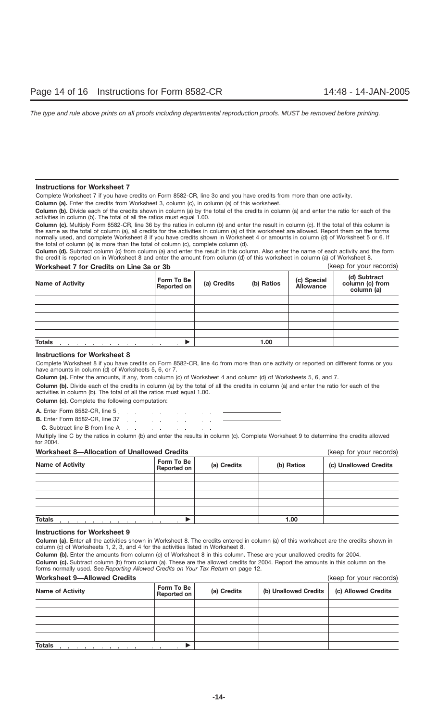## **Instructions for Worksheet 7**

Complete Worksheet 7 if you have credits on Form 8582-CR, line 3c and you have credits from more than one activity.

**Column (a).** Enter the credits from Worksheet 3, column (c), in column (a) of this worksheet.

**Column (b).** Divide each of the credits shown in column (a) by the total of the credits in column (a) and enter the ratio for each of the activities in column (b). The total of all the ratios must equal 1.00.

**Column (c).** Multiply Form 8582-CR, line 36 by the ratios in column (b) and enter the result in column (c). If the total of this column is the same as the total of column (a), all credits for the activities in column (a) of this worksheet are allowed. Report them on the forms normally used, and complete Worksheet 8 if you have credits shown in Worksheet 4 or amounts in column (d) of Worksheet 5 or 6. If the total of column (a) is more than the total of column (c), complete column (d).

**Column (d).** Subtract column (c) from column (a) and enter the result in this column. Also enter the name of each activity and the form the credit is reported on in Worksheet 8 and enter the amount from column (d) of this worksheet in column (a) of Worksheet 8.

| Worksheet 7 for Credits on Line 3a or 3b |                           |             | (keep for your records) |                                 |                                               |
|------------------------------------------|---------------------------|-------------|-------------------------|---------------------------------|-----------------------------------------------|
| <b>Name of Activity</b>                  | Form To Be<br>Reported on | (a) Credits | (b) Ratios              | (c) Special<br><b>Allowance</b> | (d) Subtract<br>column (c) from<br>column (a) |
|                                          |                           |             |                         |                                 |                                               |
|                                          |                           |             |                         |                                 |                                               |
|                                          |                           |             |                         |                                 |                                               |
|                                          |                           |             |                         |                                 |                                               |
|                                          |                           |             |                         |                                 |                                               |
| <b>Totals</b>                            |                           | 1.00        |                         |                                 |                                               |

## **Instructions for Worksheet 8**

Complete Worksheet 8 if you have credits on Form 8582-CR, line 4c from more than one activity or reported on different forms or you have amounts in column (d) of Worksheets 5, 6, or 7.

**Column (a).** Enter the amounts, if any, from column (c) of Worksheet 4 and column (d) of Worksheets 5, 6, and 7.

**Column (b).** Divide each of the credits in column (a) by the total of all the credits in column (a) and enter the ratio for each of the activities in column (b). The total of all the ratios must equal 1.00.

**Column (c).** Complete the following computation:

**A.** Enter Form 8582-CR, line 5. . . . . . . . . . . . . . . . .

**B.** Enter Form 8582-CR, line 37 (a)  $\therefore$  (a)  $\therefore$  (a)  $\therefore$  (a)  $\therefore$  (a)  $\therefore$  (a) **C.** Subtract line B from line A . . . . . . . . . . . . . . . .

Multiply line C by the ratios in column (b) and enter the results in column (c). Complete Worksheet 9 to determine the credits allowed for 2004.

## **Worksheet 8—Allocation of Unallowed Credits** (keep for your records)

| <b>THE DISTURBANCE IS THE STATE OF STREET OF STREET</b> | $(100)$ ior your rooordo) |             |            |                       |
|---------------------------------------------------------|---------------------------|-------------|------------|-----------------------|
| <b>Name of Activity</b>                                 | Form To Be<br>Reported on | (a) Credits | (b) Ratios | (c) Unallowed Credits |
|                                                         |                           |             |            |                       |
|                                                         |                           |             |            |                       |
|                                                         |                           |             |            |                       |
|                                                         |                           |             |            |                       |
|                                                         |                           |             |            |                       |
| <b>Totals</b>                                           |                           |             | 1.00       |                       |

## **Instructions for Worksheet 9**

**Column (a).** Enter all the activities shown in Worksheet 8. The credits entered in column (a) of this worksheet are the credits shown in column (c) of Worksheets 1, 2, 3, and 4 for the activities listed in Worksheet 8.

**Column (b).** Enter the amounts from column (c) of Worksheet 8 in this column. These are your unallowed credits for 2004. **Column (c).** Subtract column (b) from column (a). These are the allowed credits for 2004. Report the amounts in this column on the forms normally used. See *Reporting Allowed Credits on Your Tax Return* on page 12.

## **Worksheet 9—Allowed Credits** (keep for your records)

| <u>WULKSIJEEL S—AIIOWEU CIEUILS</u> |                           |             | IVEED IN YOUI IECOIDS) |                     |
|-------------------------------------|---------------------------|-------------|------------------------|---------------------|
| <b>Name of Activity</b>             | Form To Be<br>Reported on | (a) Credits | (b) Unallowed Credits  | (c) Allowed Credits |
|                                     |                           |             |                        |                     |
|                                     |                           |             |                        |                     |
|                                     |                           |             |                        |                     |
|                                     |                           |             |                        |                     |
| <b>Totals</b>                       |                           |             |                        |                     |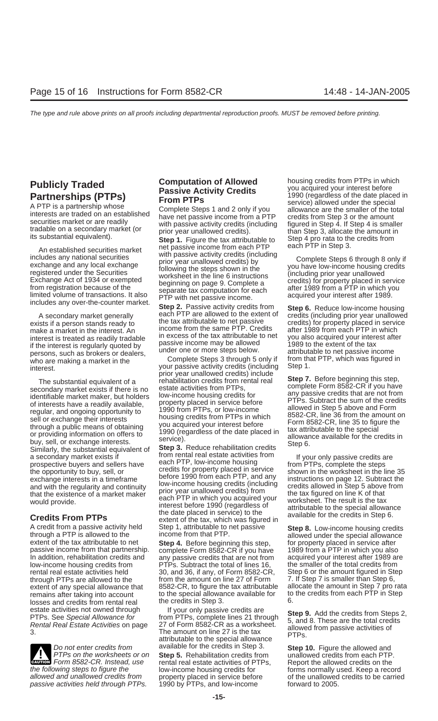An established securities market<br>
includes any national securities<br>
exchange and any local exchange<br>
registered under the Securities<br>
Exchange Act of 1934 or exempted<br>
from registration because of the<br>
limited volume of tr

if the interest is regularly quoted by the passive income may be allowed the extent of the tax<br>persons such as brokers or dealers under one or more steps below. The attributable to net passive income persons, such as brokers or dealers, under one or more steps below. The attributable to net passive income<br>who are making a market in the Complete Steps 3 through 5 only if from that PTP, which was figured in

Figure a Heading available,<br>
regular, and ongoing opportunity to<br>
sell or exchange their interests<br>
through a public means of obtaining<br>
or providing information on offers to<br>
buy, sell, or exchange interests.<br>
Similarly,

A credit from a passive activity held Step 1, attributable to net passive **Step 8.** Low-income housing credits through a PTP is allowed to the income from that PTP.<br>
extent of the tax attributable to net **Step 4**. Before b extent of any special allowance that 8582-CR, to figure the tax attributable remains after taking into account the special allowance available for losses and credits from rental real

passive activities held through PTPs.

A secondary market generally **Step 2.** Passive activity credits from **Step 6.** Reduce low-income housing<br>A secondary market generally each PTP are allowed to the extent of credits (including prior year unallowed<br>ists if a exists if a person stands ready to the tax attributable to net passive credits) for property placed in service<br>make a market in the interest An income from the same PTP. Credits after 1989 from each PTP in which make a market in the interest. An income from the same PTP. Credits after 1989 from each PTP in which interest after interest after in the interest. An income from the tax attributable to net you also acquired your interes interest is treated as readily tradable the tax attributable to rist you also acquired your interest is required your interest is required your interest is required by passive income may be allowed the stage to the extent

who are making a market in the Complete Steps 3 through 5 only if from that interest vour passive activity credits (including Step 1. your passive activity credits (including Step 1.<br>
Interest.<br>
The substantial equivalent of a rehabilitation credits from rental real secondary market exists if there is no estate activities from PTPs, secondary market exists if there is no<br>
identifiable market maker, but holders low-income housing credits for<br>
of interests have a readily available, property placed in service before<br>
FTPs. Subtract the sum of the credits

a secondary market exists if<br>prospective buyers and sellers have a each PTP, low-income housing<br>the opportunity to buy, sell, or<br>exchange interests in a timeframe before 1990 from each PTP, and any<br>and with the regularity and with the regularity and continuity<br>that the existence of a market maker prior year unallowed credits) from the tax figured on line K of that<br>would provide.<br>would provide. would provide.<br>
would provide.<br>
Stredits From PTPs<br>
Credits From PTPs<br>
Credits From PTPs<br>
Credits From PTPs<br>
Credits From PTPs<br>
Credits From PTPs<br>
Credits From PTPs<br>
Credits From PTPs<br>
Credits From PTPs<br>
Credits From PTPs<br>

extent of the tax attributable to net **Step 4.** Before beginning this step, for property placed in service after<br>
passive income from that partnership. complete Form 8582-CR if you have 1989 from a PTP in which you also passive income from that partnership. complete Form 8582-CR if you have 1989 from a PTP in which you also<br>In addition, rehabilitation credits and any passive credits that are not from acquired your interest after 1989 an In addition, rehabilitation credits and any passive credits that are not from acquired your interest after 1989 are low-income housing credits from PTPs. Subtract the total of lines 16, the smaller of the total credits fro low-income housing credits from PTPs. Subtract the total of lines 16, the smaller of the total credits from<br>
rental real estate activities held 30, and 36, if any, of Form 8582-CR, Step 6 or the amount figured in Step 30, and 36, if any, of Form 8582-CR, Step 6 or the amount figured in Step 6, if any, of Form 8582-CR, Step 7 is smaller than Step 6, through PTPs are allowed to the from the amount on line 27 of Form 7. If Step 7 is smaller than Step 6, the state of the amount in Step 7 pro rata extent of any special allowance that 8582-CR, to figure the tax attributabl remains after taking into account to the special allowance available for to the credits from each PTP in Step<br>losses and credits from rental real the credits in Step 3. 6.

estate activities not owned through the set of the set of two set of the credits are<br>
PTPs. See Special Allowance for the PTPs, complete lines 21 through<br>
Rental Real Estate Activities on page 27 of Form 8582-CR as a works Do not enter credits from available for the credits in Step 3. **Step 10.** Figure the allowed and PTPs on the worksheets or on **Step 5.** Rehabilitation credits from unallowed credits from each PTP. Form 8582-CR. Instead, use rental real estate activities of PTPs, Report the allowed credits from each PTP **Example 2018** Form 8582-CR. Instead, use rental real estate activities of PTPs, Report the allowed credits on the the following steps to figure the low-income housing credits for forms normally used. Keep a record allowed and unallowed credits from property placed in service before of the unallowed credits to be carried passive activities held through PTPs. 1990 by PTPs, and low-income

**Publicly Traded**<br> **Partnerships (PTPs)**<br>
A PTP is a partnership whose<br>
interests are traded on an established<br>
service) allowed under the special<br>
service) allowed under the special<br>
service) allowance are the smaller of